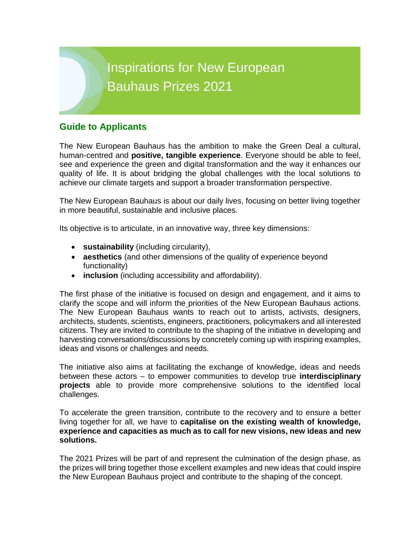# Inspirations for New European Bauhaus Prizes 2021

# **Guide to Applicants**

The New European Bauhaus has the ambition to make the Green Deal a cultural, human-centred and **positive, tangible experience**. Everyone should be able to feel, see and experience the green and digital transformation and the way it enhances our quality of life. It is about bridging the global challenges with the local solutions to achieve our climate targets and support a broader transformation perspective.

The New European Bauhaus is about our daily lives, focusing on better living together in more beautiful, sustainable and inclusive places.

Its objective is to articulate, in an innovative way, three key dimensions:

- **sustainability** (including circularity),
- **aesthetics** (and other dimensions of the quality of experience beyond functionality)
- **inclusion** (including accessibility and affordability).

The first phase of the initiative is focused on design and engagement, and it aims to clarify the scope and will inform the priorities of the New European Bauhaus actions. The New European Bauhaus wants to reach out to artists, activists, designers, architects, students, scientists, engineers, practitioners, policymakers and all interested citizens. They are invited to contribute to the shaping of the initiative in developing and harvesting conversations/discussions by concretely coming up with inspiring examples, ideas and visons or challenges and needs.

The initiative also aims at facilitating the exchange of knowledge, ideas and needs between these actors – to empower communities to develop true **interdisciplinary projects** able to provide more comprehensive solutions to the identified local challenges.

To accelerate the green transition, contribute to the recovery and to ensure a better living together for all, we have to **capitalise on the existing wealth of knowledge, experience and capacities as much as to call for new visions, new ideas and new solutions.**

The 2021 Prizes will be part of and represent the culmination of the design phase, as the prizes will bring together those excellent examples and new ideas that could inspire the New European Bauhaus project and contribute to the shaping of the concept.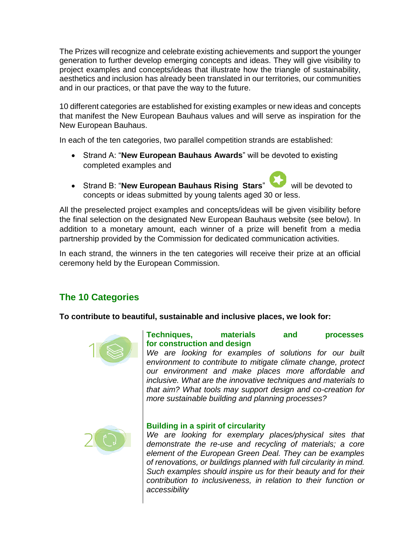The Prizes will recognize and celebrate existing achievements and support the younger generation to further develop emerging concepts and ideas. They will give visibility to project examples and concepts/ideas that illustrate how the triangle of sustainability, aesthetics and inclusion has already been translated in our territories, our communities and in our practices, or that pave the way to the future.

10 different categories are established for existing examples or new ideas and concepts that manifest the New European Bauhaus values and will serve as inspiration for the New European Bauhaus.

In each of the ten categories, two parallel competition strands are established:

- Strand A: "**New European Bauhaus Awards**" will be devoted to existing completed examples and
- Strand B: "**New European Bauhaus Rising Stars**" will be devoted to concepts or ideas submitted by young talents aged 30 or less.

All the preselected project examples and concepts/ideas will be given visibility before the final selection on the designated New European Bauhaus website (see below). In addition to a monetary amount, each winner of a prize will benefit from a media partnership provided by the Commission for dedicated communication activities.

In each strand, the winners in the ten categories will receive their prize at an official ceremony held by the European Commission.

# **The 10 Categories**

**To contribute to beautiful, sustainable and inclusive places, we look for:**



## **Techniques, materials and processes for construction and design**

*We are looking for examples of solutions for our built environment to contribute to mitigate climate change, protect our environment and make places more affordable and inclusive. What are the innovative techniques and materials to that aim? What tools may support design and co-creation for more sustainable building and planning processes?*



## **Building in a spirit of circularity**

*We are looking for exemplary places/physical sites that demonstrate the re-use and recycling of materials; a core element of the European Green Deal. They can be examples of renovations, or buildings planned with full circularity in mind. Such examples should inspire us for their beauty and for their contribution to inclusiveness, in relation to their function or accessibility*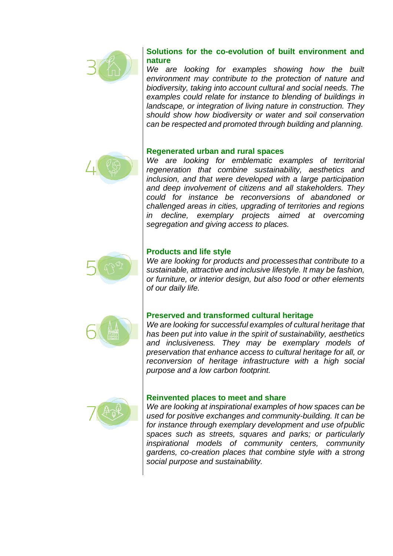

## **Solutions for the co-evolution of built environment and nature**

*We are looking for examples showing how the built environment may contribute to the protection of nature and biodiversity, taking into account cultural and social needs. The examples could relate for instance to blending of buildings in landscape, or integration of living nature in construction. They should show how biodiversity or water and soil conservation can be respected and promoted through building and planning.*

#### **Regenerated urban and rural spaces**



*We are looking for emblematic examples of territorial regeneration that combine sustainability, aesthetics and inclusion, and that were developed with a large participation and deep involvement of citizens and all stakeholders. They could for instance be reconversions of abandoned or challenged areas in cities, upgrading of territories and regions in decline, exemplary projects aimed at overcoming segregation and giving access to places.*



#### **Products and life style**

*We are looking for products and processesthat contribute to a sustainable, attractive and inclusive lifestyle. It may be fashion, or furniture, or interior design, but also food or other elements of our daily life.*



## **Preserved and transformed cultural heritage**

*We are looking for successful examples of cultural heritage that has been put into value in the spirit of sustainability, aesthetics and inclusiveness. They may be exemplary models of preservation that enhance access to cultural heritage for all, or reconversion of heritage infrastructure with a high social purpose and a low carbon footprint.*



#### **Reinvented places to meet and share**

*We are looking at inspirational examples of how spaces can be used for positive exchanges and community-building. It can be for instance through exemplary development and use ofpublic spaces such as streets, squares and parks; or particularly inspirational models of community centers, community gardens, co-creation places that combine style with a strong social purpose and sustainability.*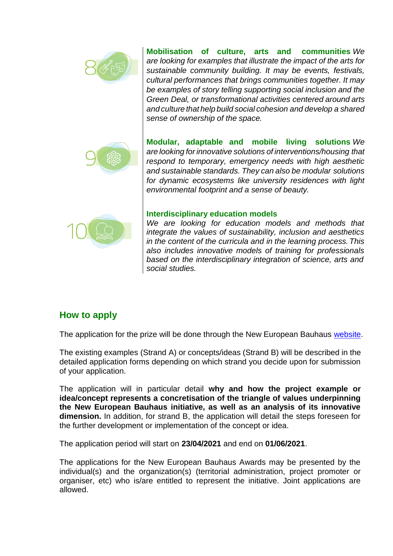

**Mobilisation of culture, arts and communities** *We are looking for examples that illustrate the impact of the arts for sustainable community building. It may be events, festivals, cultural performances that brings communities together. It may be examples of story telling supporting social inclusion and the Green Deal, or transformational activities centered around arts and culture that help build social cohesion and develop a shared sense of ownership of the space.*



**Modular, adaptable and mobile living solutions** *We are looking for innovative solutions of interventions/housing that respond to temporary, emergency needs with high aesthetic and sustainable standards. They can also be modular solutions for dynamic ecosystems like university residences with light environmental footprint and a sense of beauty.*



#### **Interdisciplinary education models**

*We are looking for education models and methods that integrate the values of sustainability, inclusion and aesthetics in the content of the curricula and in the learning process.This also includes innovative models of training for professionals based on the interdisciplinary integration of science, arts and social studies.*

# **How to apply**

The application for the prize will be done through the New European Bauhaus [website.](https://europa.eu/new-european-bauhaus/index_en)

The existing examples (Strand A) or concepts/ideas (Strand B) will be described in the detailed application forms depending on which strand you decide upon for submission of your application.

The application will in particular detail **why and how the project example or idea/concept represents a concretisation of the triangle of values underpinning the New European Bauhaus initiative, as well as an analysis of its innovative dimension.** In addition, for strand B, the application will detail the steps foreseen for the further development or implementation of the concept or idea.

The application period will start on **23/04/2021** and end on **01/06/2021**.

The applications for the New European Bauhaus Awards may be presented by the individual(s) and the organization(s) (territorial administration, project promoter or organiser, etc) who is/are entitled to represent the initiative. Joint applications are allowed.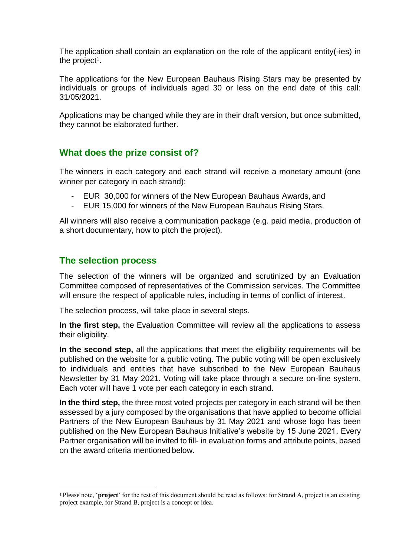The application shall contain an explanation on the role of the applicant entity(-ies) in the project $^{\rm 1}.$ 

The applications for the New European Bauhaus Rising Stars may be presented by individuals or groups of individuals aged 30 or less on the end date of this call: 31/05/2021.

Applications may be changed while they are in their draft version, but once submitted, they cannot be elaborated further.

## **What does the prize consist of?**

The winners in each category and each strand will receive a monetary amount (one winner per category in each strand):

- EUR 30,000 for winners of the New European Bauhaus Awards, and
- EUR 15,000 for winners of the New European Bauhaus Rising Stars.

All winners will also receive a communication package (e.g. paid media, production of a short documentary, how to pitch the project).

## **The selection process**

The selection of the winners will be organized and scrutinized by an Evaluation Committee composed of representatives of the Commission services. The Committee will ensure the respect of applicable rules, including in terms of conflict of interest.

The selection process, will take place in several steps.

**In the first step,** the Evaluation Committee will review all the applications to assess their eligibility.

**In the second step,** all the applications that meet the eligibility requirements will be published on the website for a public voting. The public voting will be open exclusively to individuals and entities that have subscribed to the New European Bauhaus Newsletter by 31 May 2021. Voting will take place through a secure on-line system. Each voter will have 1 vote per each category in each strand.

**In the third step,** the three most voted projects per category in each strand will be then assessed by a jury composed by the organisations that have applied to become official Partners of the New European Bauhaus by 31 May 2021 and whose logo has been published on the New European Bauhaus Initiative's website by 15 June 2021. Every Partner organisation will be invited to fill- in evaluation forms and attribute points, based on the award criteria mentioned below.

<sup>&</sup>lt;sup>1</sup> Please note, '**project**' for the rest of this document should be read as follows: for Strand A, project is an existing project example, for Strand B, project is a concept or idea.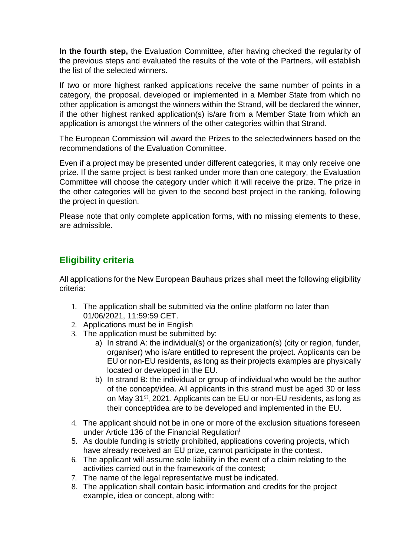**In the fourth step,** the Evaluation Committee, after having checked the regularity of the previous steps and evaluated the results of the vote of the Partners, will establish the list of the selected winners.

If two or more highest ranked applications receive the same number of points in a category, the proposal, developed or implemented in a Member State from which no other application is amongst the winners within the Strand, will be declared the winner, if the other highest ranked application(s) is/are from a Member State from which an application is amongst the winners of the other categories within that Strand.

The European Commission will award the Prizes to the selectedwinners based on the recommendations of the Evaluation Committee.

Even if a project may be presented under different categories, it may only receive one prize. If the same project is best ranked under more than one category, the Evaluation Committee will choose the category under which it will receive the prize. The prize in the other categories will be given to the second best project in the ranking, following the project in question.

Please note that only complete application forms, with no missing elements to these, are admissible.

# **Eligibility criteria**

All applications for the New European Bauhaus prizes shall meet the following eligibility criteria:

- 1. The application shall be submitted via the online platform no later than 01/06/2021, 11:59:59 CET.
- 2. Applications must be in English
- 3. The application must be submitted by:
	- a) In strand A: the individual(s) or the organization(s) (city or region, funder, organiser) who is/are entitled to represent the project. Applicants can be EU or non-EU residents, as long as their projects examples are physically located or developed in the EU.
	- b) In strand B: the individual or group of individual who would be the author of the concept/idea. All applicants in this strand must be aged 30 or less on May 31<sup>st</sup>, 2021. Applicants can be EU or non-EU residents, as long as their concept/idea are to be developed and implemented in the EU.
- 4. The applicant should not be in one or more of the exclusion situations foreseen under Article 136 of the Financial Regulation<sup>i</sup>
- 5. As double funding is strictly prohibited, applications covering projects, which have already received an EU prize, cannot participate in the contest.
- 6. The applicant will assume sole liability in the event of a claim relating to the activities carried out in the framework of the contest;
- 7. The name of the legal representative must be indicated.
- 8. The application shall contain basic information and credits for the project example, idea or concept, along with: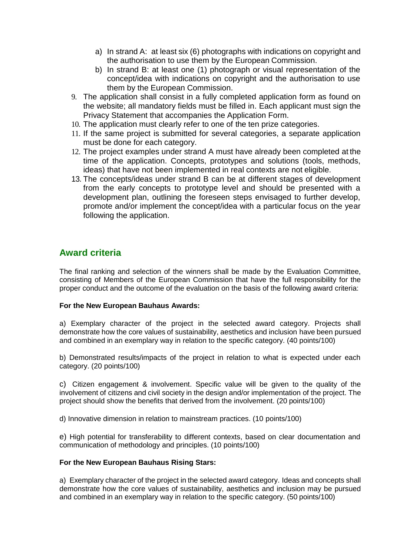- a) In strand A: at least six (6) photographs with indications on copyright and the authorisation to use them by the European Commission.
- b) In strand B: at least one (1) photograph or visual representation of the concept/idea with indications on copyright and the authorisation to use them by the European Commission.
- 9. The application shall consist in a fully completed application form as found on the website; all mandatory fields must be filled in. Each applicant must sign the Privacy Statement that accompanies the Application Form.
- 10. The application must clearly refer to one of the ten prize categories.
- 11. If the same project is submitted for several categories, a separate application must be done for each category.
- 12. The project examples under strand A must have already been completed at the time of the application. Concepts, prototypes and solutions (tools, methods, ideas) that have not been implemented in real contexts are not eligible.
- 13. The concepts/ideas under strand B can be at different stages of development from the early concepts to prototype level and should be presented with a development plan, outlining the foreseen steps envisaged to further develop, promote and/or implement the concept/idea with a particular focus on the year following the application.

## **Award criteria**

The final ranking and selection of the winners shall be made by the Evaluation Committee, consisting of Members of the European Commission that have the full responsibility for the proper conduct and the outcome of the evaluation on the basis of the following award criteria:

#### **For the New European Bauhaus Awards:**

a) Exemplary character of the project in the selected award category. Projects shall demonstrate how the core values of sustainability, aesthetics and inclusion have been pursued and combined in an exemplary way in relation to the specific category. (40 points/100)

b) Demonstrated results/impacts of the project in relation to what is expected under each category. (20 points/100)

c) Citizen engagement & involvement. Specific value will be given to the quality of the involvement of citizens and civil society in the design and/or implementation of the project. The project should show the benefits that derived from the involvement. (20 points/100)

d) Innovative dimension in relation to mainstream practices. (10 points/100)

e) High potential for transferability to different contexts, based on clear documentation and communication of methodology and principles. (10 points/100)

#### **For the New European Bauhaus Rising Stars:**

a) Exemplary character of the project in the selected award category. Ideas and concepts shall demonstrate how the core values of sustainability, aesthetics and inclusion may be pursued and combined in an exemplary way in relation to the specific category. (50 points/100)